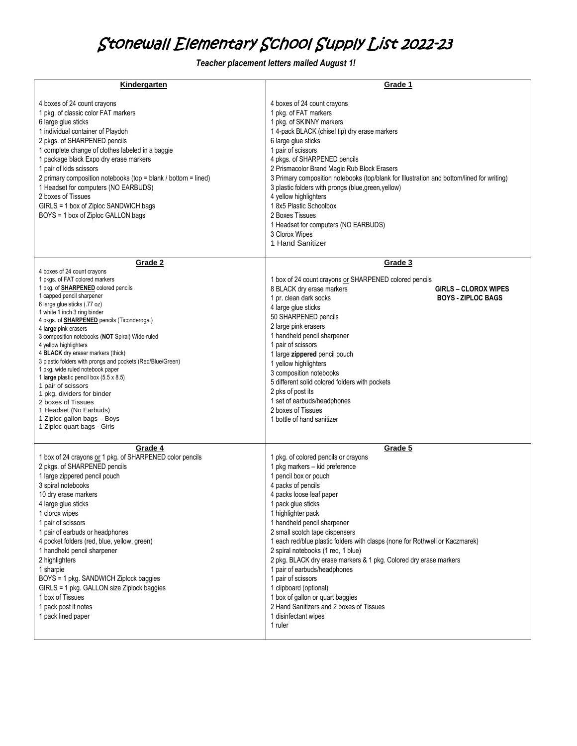## Stonewall Elementary School Supply List 2022-23

 *Teacher placement letters mailed August 1!*

| Kindergarten                                                                                                                                                                                                                                                                                                                                                                                                                                                                                                                                                                                                                                                                                                           | Grade 1                                                                                                                                                                                                                                                                                                                                                                                                                                                                                                                                                                                                                                                                 |
|------------------------------------------------------------------------------------------------------------------------------------------------------------------------------------------------------------------------------------------------------------------------------------------------------------------------------------------------------------------------------------------------------------------------------------------------------------------------------------------------------------------------------------------------------------------------------------------------------------------------------------------------------------------------------------------------------------------------|-------------------------------------------------------------------------------------------------------------------------------------------------------------------------------------------------------------------------------------------------------------------------------------------------------------------------------------------------------------------------------------------------------------------------------------------------------------------------------------------------------------------------------------------------------------------------------------------------------------------------------------------------------------------------|
| 4 boxes of 24 count crayons<br>1 pkg. of classic color FAT markers<br>6 large glue sticks<br>1 individual container of Playdoh<br>2 pkgs. of SHARPENED pencils<br>1 complete change of clothes labeled in a baggie<br>1 package black Expo dry erase markers<br>1 pair of kids scissors<br>2 primary composition notebooks (top = blank / bottom = lined)<br>1 Headset for computers (NO EARBUDS)<br>2 boxes of Tissues<br>GIRLS = 1 box of Ziploc SANDWICH bags<br>BOYS = 1 box of Ziploc GALLON bags                                                                                                                                                                                                                 | 4 boxes of 24 count crayons<br>1 pkg. of FAT markers<br>1 pkg. of SKINNY markers<br>1 4-pack BLACK (chisel tip) dry erase markers<br>6 large glue sticks<br>1 pair of scissors<br>4 pkgs. of SHARPENED pencils<br>2 Prismacolor Brand Magic Rub Block Erasers<br>3 Primary composition notebooks (top/blank for Illustration and bottom/lined for writing)<br>3 plastic folders with prongs (blue, green, yellow)<br>4 yellow highlighters<br>18x5 Plastic Schoolbox<br>2 Boxes Tissues<br>1 Headset for computers (NO EARBUDS)<br>3 Clorox Wipes<br>1 Hand Sanitizer                                                                                                   |
| Grade 2                                                                                                                                                                                                                                                                                                                                                                                                                                                                                                                                                                                                                                                                                                                | Grade 3                                                                                                                                                                                                                                                                                                                                                                                                                                                                                                                                                                                                                                                                 |
| 4 boxes of 24 count crayons<br>1 pkgs. of FAT colored markers<br>1 pkg. of <b>SHARPENED</b> colored pencils<br>1 capped pencil sharpener<br>6 large glue sticks (.77 oz)<br>1 white 1 inch 3 ring binder<br>4 pkgs. of <b>SHARPENED</b> pencils (Ticonderoga.)<br>4 large pink erasers<br>3 composition notebooks (NOT Spiral) Wide-ruled<br>4 yellow highlighters<br>4 BLACK dry eraser markers (thick)<br>3 plastic folders with prongs and pockets (Red/Blue/Green)<br>1 pkg. wide ruled notebook paper<br>1 large plastic pencil box (5.5 x 8.5)<br>1 pair of scissors<br>1 pkg. dividers for binder<br>2 boxes of Tissues<br>1 Headset (No Earbuds)<br>1 Ziploc gallon bags - Boys<br>1 Ziploc quart bags - Girls | 1 box of 24 count crayons or SHARPENED colored pencils<br>8 BLACK dry erase markers<br><b>GIRLS - CLOROX WIPES</b><br>1 pr. clean dark socks<br><b>BOYS - ZIPLOC BAGS</b><br>4 large glue sticks<br>50 SHARPENED pencils<br>2 large pink erasers<br>1 handheld pencil sharpener<br>1 pair of scissors<br>1 large zippered pencil pouch<br>1 yellow highlighters<br>3 composition notebooks<br>5 different solid colored folders with pockets<br>2 pks of post its<br>1 set of earbuds/headphones<br>2 boxes of Tissues<br>1 bottle of hand sanitizer                                                                                                                    |
|                                                                                                                                                                                                                                                                                                                                                                                                                                                                                                                                                                                                                                                                                                                        |                                                                                                                                                                                                                                                                                                                                                                                                                                                                                                                                                                                                                                                                         |
| Grade 4<br>1 box of 24 crayons or 1 pkg. of SHARPENED color pencils<br>2 pkgs. of SHARPENED pencils<br>1 large zippered pencil pouch<br>3 spiral notebooks<br>10 dry erase markers<br>4 large glue sticks<br>1 clorox wipes<br>1 pair of scissors<br>1 pair of earbuds or headphones<br>4 pocket folders (red, blue, yellow, green)<br>1 handheld pencil sharpener<br>2 highlighters<br>1 sharpie<br>BOYS = 1 pkg. SANDWICH Ziplock baggies<br>GIRLS = 1 pkg. GALLON size Ziplock baggies<br>1 box of Tissues<br>1 pack post it notes<br>1 pack lined paper                                                                                                                                                            | Grade 5<br>1 pkg. of colored pencils or crayons<br>1 pkg markers - kid preference<br>1 pencil box or pouch<br>4 packs of pencils<br>4 packs loose leaf paper<br>1 pack glue sticks<br>1 highlighter pack<br>1 handheld pencil sharpener<br>2 small scotch tape dispensers<br>1 each red/blue plastic folders with clasps (none for Rothwell or Kaczmarek)<br>2 spiral notebooks (1 red, 1 blue)<br>2 pkg. BLACK dry erase markers & 1 pkg. Colored dry erase markers<br>1 pair of earbuds/headphones<br>1 pair of scissors<br>1 clipboard (optional)<br>1 box of gallon or quart baggies<br>2 Hand Sanitizers and 2 boxes of Tissues<br>1 disinfectant wipes<br>1 ruler |